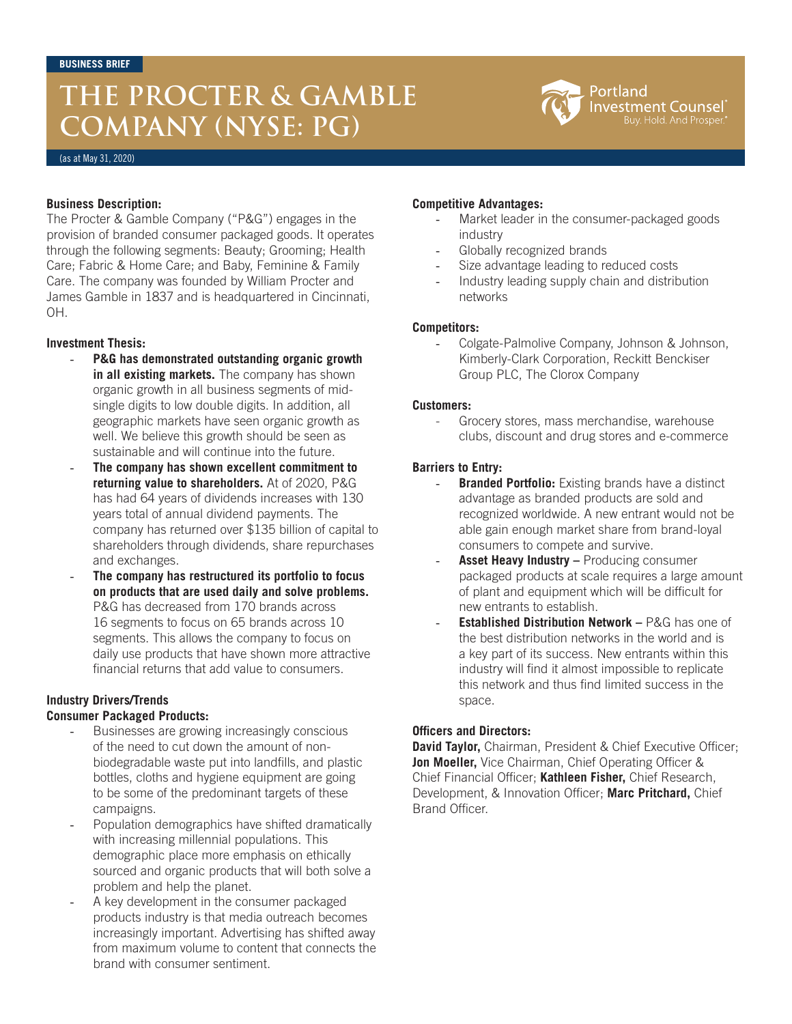### **THE PROCTER & GAMBLE COMPANY (NYSE: PG)**



(as at May 31, 2020)

#### **Business Description:**

The Procter & Gamble Company ("P&G") engages in the provision of branded consumer packaged goods. It operates through the following segments: Beauty; Grooming; Health Care; Fabric & Home Care; and Baby, Feminine & Family Care. The company was founded by William Procter and James Gamble in 1837 and is headquartered in Cincinnati, OH.

#### **Investment Thesis:**

- **P&G has demonstrated outstanding organic growth in all existing markets.** The company has shown organic growth in all business segments of midsingle digits to low double digits. In addition, all geographic markets have seen organic growth as well. We believe this growth should be seen as sustainable and will continue into the future.
- **The company has shown excellent commitment to returning value to shareholders.** At of 2020, P&G has had 64 years of dividends increases with 130 years total of annual dividend payments. The company has returned over \$135 billion of capital to shareholders through dividends, share repurchases and exchanges.
- **The company has restructured its portfolio to focus on products that are used daily and solve problems.**  P&G has decreased from 170 brands across 16 segments to focus on 65 brands across 10 segments. This allows the company to focus on daily use products that have shown more attractive financial returns that add value to consumers.

#### **Industry Drivers/Trends Consumer Packaged Products:**

# - Businesses are growing increasingly conscious

- of the need to cut down the amount of nonbiodegradable waste put into landfills, and plastic bottles, cloths and hygiene equipment are going to be some of the predominant targets of these campaigns.
- Population demographics have shifted dramatically with increasing millennial populations. This demographic place more emphasis on ethically sourced and organic products that will both solve a problem and help the planet.
- A key development in the consumer packaged products industry is that media outreach becomes increasingly important. Advertising has shifted away from maximum volume to content that connects the brand with consumer sentiment.

#### **Competitive Advantages:**

- Market leader in the consumer-packaged goods industry
- Globally recognized brands
- Size advantage leading to reduced costs
- Industry leading supply chain and distribution networks

#### **Competitors:**

- Colgate-Palmolive Company, Johnson & Johnson, Kimberly-Clark Corporation, Reckitt Benckiser Group PLC, The Clorox Company

#### **Customers:**

Grocery stores, mass merchandise, warehouse clubs, discount and drug stores and e-commerce

### **Barriers to Entry:**

- **Branded Portfolio:** Existing brands have a distinct advantage as branded products are sold and recognized worldwide. A new entrant would not be able gain enough market share from brand-loyal consumers to compete and survive.
- Asset Heavy Industry Producing consumer packaged products at scale requires a large amount of plant and equipment which will be difficult for new entrants to establish.
- **Established Distribution Network P&G has one of** the best distribution networks in the world and is a key part of its success. New entrants within this industry will find it almost impossible to replicate this network and thus find limited success in the space.

### **Officers and Directors:**

**David Taylor,** Chairman, President & Chief Executive Officer; **Jon Moeller,** Vice Chairman, Chief Operating Officer & Chief Financial Officer; **Kathleen Fisher,** Chief Research, Development, & Innovation Officer; **Marc Pritchard,** Chief Brand Officer.